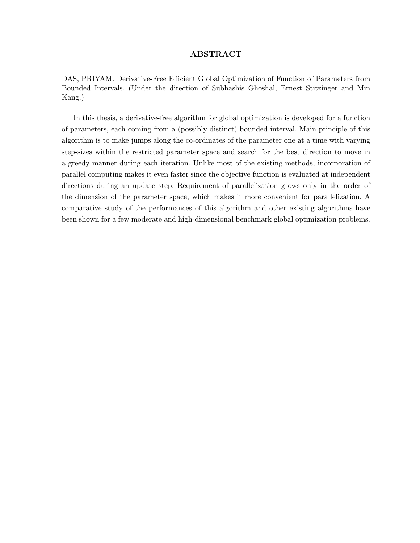### ABSTRACT

DAS, PRIYAM. Derivative-Free Efficient Global Optimization of Function of Parameters from Bounded Intervals. (Under the direction of Subhashis Ghoshal, Ernest Stitzinger and Min Kang.)

In this thesis, a derivative-free algorithm for global optimization is developed for a function of parameters, each coming from a (possibly distinct) bounded interval. Main principle of this algorithm is to make jumps along the co-ordinates of the parameter one at a time with varying step-sizes within the restricted parameter space and search for the best direction to move in a greedy manner during each iteration. Unlike most of the existing methods, incorporation of parallel computing makes it even faster since the objective function is evaluated at independent directions during an update step. Requirement of parallelization grows only in the order of the dimension of the parameter space, which makes it more convenient for parallelization. A comparative study of the performances of this algorithm and other existing algorithms have been shown for a few moderate and high-dimensional benchmark global optimization problems.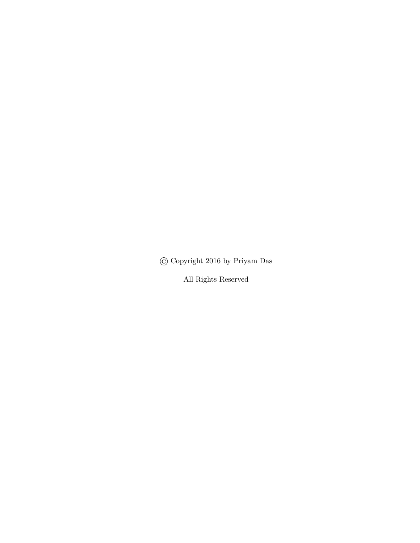© Copyright 2016 by Priyam Das

All Rights Reserved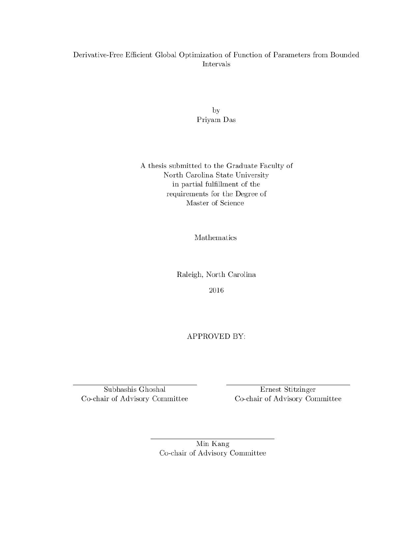# Derivative-Free Efficient Global Optimization of Function of Parameters from Bounded Intervals

by Priyam Das

A thesis submitted to the Graduate Faculty of North Carolina State University in partial fulfillment of the requirements for the Degree of Master of Science

Mathematics

Raleigh, North Carolina

2016

APPROVED BY:

Subhashis Ghoshal Co-chair of Advisory Committee

Ernest Stitzinger Co-chair of Advisory Committee

Min Kang Co-chair of Advisory Committee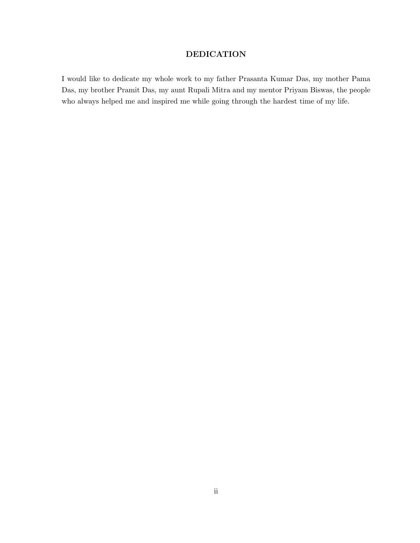# DEDICATION

I would like to dedicate my whole work to my father Prasanta Kumar Das, my mother Pama Das, my brother Pramit Das, my aunt Rupali Mitra and my mentor Priyam Biswas, the people who always helped me and inspired me while going through the hardest time of my life.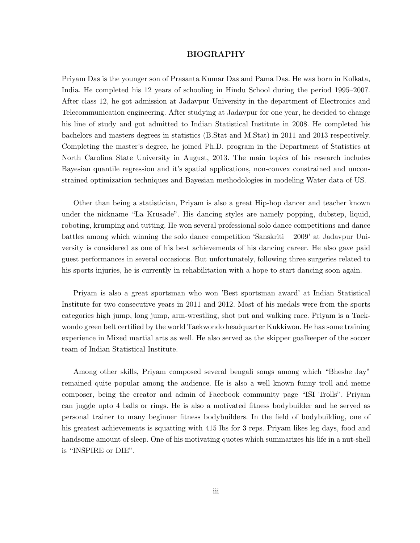#### BIOGRAPHY

Priyam Das is the younger son of Prasanta Kumar Das and Pama Das. He was born in Kolkata, India. He completed his 12 years of schooling in Hindu School during the period 1995–2007. After class 12, he got admission at Jadavpur University in the department of Electronics and Telecommunication engineering. After studying at Jadavpur for one year, he decided to change his line of study and got admitted to Indian Statistical Institute in 2008. He completed his bachelors and masters degrees in statistics (B.Stat and M.Stat) in 2011 and 2013 respectively. Completing the master's degree, he joined Ph.D. program in the Department of Statistics at North Carolina State University in August, 2013. The main topics of his research includes Bayesian quantile regression and it's spatial applications, non-convex constrained and unconstrained optimization techniques and Bayesian methodologies in modeling Water data of US.

Other than being a statistician, Priyam is also a great Hip-hop dancer and teacher known under the nickname "La Krusade". His dancing styles are namely popping, dubstep, liquid, roboting, krumping and tutting. He won several professional solo dance competitions and dance battles among which winning the solo dance competition 'Sanskriti – 2009' at Jadavpur University is considered as one of his best achievements of his dancing career. He also gave paid guest performances in several occasions. But unfortunately, following three surgeries related to his sports injuries, he is currently in rehabilitation with a hope to start dancing soon again.

Priyam is also a great sportsman who won 'Best sportsman award' at Indian Statistical Institute for two consecutive years in 2011 and 2012. Most of his medals were from the sports categories high jump, long jump, arm-wrestling, shot put and walking race. Priyam is a Taekwondo green belt certified by the world Taekwondo headquarter Kukkiwon. He has some training experience in Mixed martial arts as well. He also served as the skipper goalkeeper of the soccer team of Indian Statistical Institute.

Among other skills, Priyam composed several bengali songs among which "Bheshe Jay" remained quite popular among the audience. He is also a well known funny troll and meme composer, being the creator and admin of Facebook community page "ISI Trolls". Priyam can juggle upto 4 balls or rings. He is also a motivated fitness bodybuilder and he served as personal trainer to many beginner fitness bodybuilders. In the field of bodybuilding, one of his greatest achievements is squatting with 415 lbs for 3 reps. Priyam likes leg days, food and handsome amount of sleep. One of his motivating quotes which summarizes his life in a nut-shell is "INSPIRE or DIE".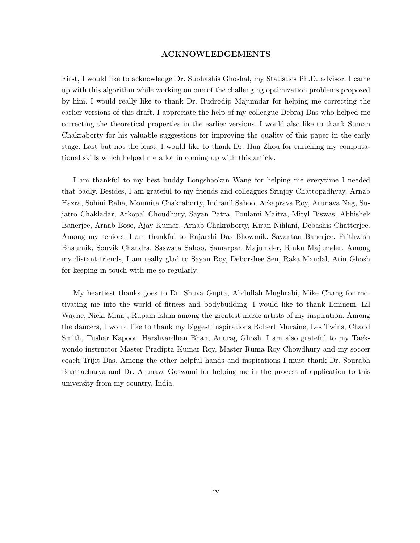#### ACKNOWLEDGEMENTS

First, I would like to acknowledge Dr. Subhashis Ghoshal, my Statistics Ph.D. advisor. I came up with this algorithm while working on one of the challenging optimization problems proposed by him. I would really like to thank Dr. Rudrodip Majumdar for helping me correcting the earlier versions of this draft. I appreciate the help of my colleague Debraj Das who helped me correcting the theoretical properties in the earlier versions. I would also like to thank Suman Chakraborty for his valuable suggestions for improving the quality of this paper in the early stage. Last but not the least, I would like to thank Dr. Hua Zhou for enriching my computational skills which helped me a lot in coming up with this article.

I am thankful to my best buddy Longshaokan Wang for helping me everytime I needed that badly. Besides, I am grateful to my friends and colleagues Srinjoy Chattopadhyay, Arnab Hazra, Sohini Raha, Moumita Chakraborty, Indranil Sahoo, Arkaprava Roy, Arunava Nag, Sujatro Chakladar, Arkopal Choudhury, Sayan Patra, Poulami Maitra, Mityl Biswas, Abhishek Banerjee, Arnab Bose, Ajay Kumar, Arnab Chakraborty, Kiran Nihlani, Debashis Chatterjee. Among my seniors, I am thankful to Rajarshi Das Bhowmik, Sayantan Banerjee, Prithwish Bhaumik, Souvik Chandra, Saswata Sahoo, Samarpan Majumder, Rinku Majumder. Among my distant friends, I am really glad to Sayan Roy, Deborshee Sen, Raka Mandal, Atin Ghosh for keeping in touch with me so regularly.

My heartiest thanks goes to Dr. Shuva Gupta, Abdullah Mughrabi, Mike Chang for motivating me into the world of fitness and bodybuilding. I would like to thank Eminem, Lil Wayne, Nicki Minaj, Rupam Islam among the greatest music artists of my inspiration. Among the dancers, I would like to thank my biggest inspirations Robert Muraine, Les Twins, Chadd Smith, Tushar Kapoor, Harshvardhan Bhan, Anurag Ghosh. I am also grateful to my Taekwondo instructor Master Pradipta Kumar Roy, Master Ruma Roy Chowdhury and my soccer coach Trijit Das. Among the other helpful hands and inspirations I must thank Dr. Sourabh Bhattacharya and Dr. Arunava Goswami for helping me in the process of application to this university from my country, India.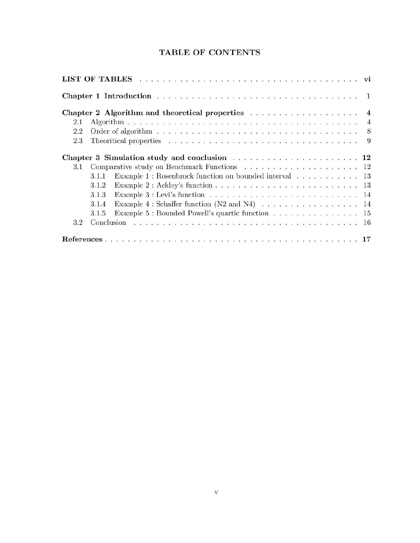# TABLE OF CONTENTS

|     | LIST OF TABLES                                                                                                 |                |  |  |  |  |  |
|-----|----------------------------------------------------------------------------------------------------------------|----------------|--|--|--|--|--|
|     |                                                                                                                |                |  |  |  |  |  |
|     |                                                                                                                | $\overline{4}$ |  |  |  |  |  |
| 2.1 |                                                                                                                | $\overline{4}$ |  |  |  |  |  |
| 2.2 |                                                                                                                | 8              |  |  |  |  |  |
| 2.3 |                                                                                                                |                |  |  |  |  |  |
|     |                                                                                                                |                |  |  |  |  |  |
| 3.1 |                                                                                                                |                |  |  |  |  |  |
|     | Example $1:$ Rosenbrock function on bounded interval $\hfill\ldots\ldots\ldots\ldots\ldots\ldots\ 13$<br>3.1.1 |                |  |  |  |  |  |
|     | 3.1.2                                                                                                          |                |  |  |  |  |  |
|     | 3.1.3                                                                                                          |                |  |  |  |  |  |
|     | Example $4:$ Schaffer function (N2 and N4) $\ldots \ldots \ldots \ldots \ldots \ldots$ 14<br>3.1.4             |                |  |  |  |  |  |
|     | Example 5 : Bounded Powell's quartic function 15<br>3.1.5                                                      |                |  |  |  |  |  |
| 3.2 |                                                                                                                |                |  |  |  |  |  |
|     |                                                                                                                |                |  |  |  |  |  |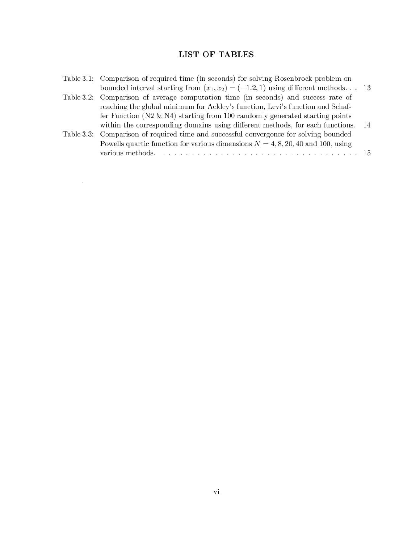# LIST OF TABLES

| Table 3.1: Comparison of required time (in seconds) for solving Rosenbrock problem on<br>bounded interval starting from $(x_1, x_2) = (-1.2, 1)$ using different methods 13 |    |
|-----------------------------------------------------------------------------------------------------------------------------------------------------------------------------|----|
| Table 3.2: Comparison of average computation time (in seconds) and success rate of                                                                                          |    |
| reaching the global minimum for Ackley's function, Levi's function and Schaf-                                                                                               |    |
| fer Function ( $N2 \& N4$ ) starting from 100 randomly generated starting points                                                                                            |    |
| within the corresponding domains using different methods, for each functions.                                                                                               | 14 |
| Table 3.3: Comparison of required time and successful convergence for solving bounded                                                                                       |    |
| Powells quartic function for various dimensions $N = 4, 8, 20, 40$ and 100, using                                                                                           |    |
|                                                                                                                                                                             |    |

 $\sim 100$  km s  $^{-1}$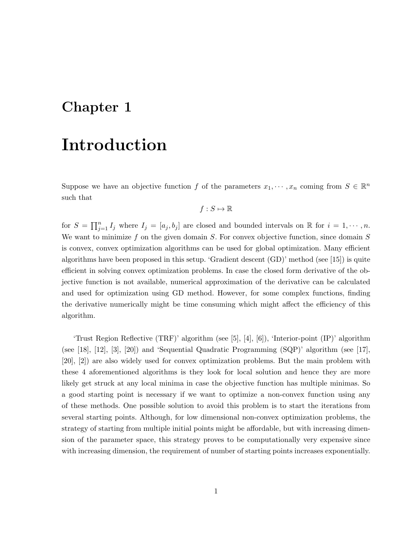# Chapter 1

# Introduction

Suppose we have an objective function f of the parameters  $x_1, \dots, x_n$  coming from  $S \in \mathbb{R}^n$ such that

$$
f: S \mapsto \mathbb{R}
$$

for  $S = \prod_{j=1}^n I_j$  where  $I_j = [a_j, b_j]$  are closed and bounded intervals on  $\mathbb R$  for  $i = 1, \dots, n$ . We want to minimize f on the given domain  $S$ . For convex objective function, since domain  $S$ is convex, convex optimization algorithms can be used for global optimization. Many efficient algorithms have been proposed in this setup. 'Gradient descent (GD)' method (see [15]) is quite efficient in solving convex optimization problems. In case the closed form derivative of the objective function is not available, numerical approximation of the derivative can be calculated and used for optimization using GD method. However, for some complex functions, finding the derivative numerically might be time consuming which might affect the efficiency of this algorithm.

'Trust Region Reflective (TRF)' algorithm (see [5], [4], [6]), 'Interior-point (IP)' algorithm (see [18], [12], [3], [20]) and 'Sequential Quadratic Programming (SQP)' algorithm (see [17], [20], [2]) are also widely used for convex optimization problems. But the main problem with these 4 aforementioned algorithms is they look for local solution and hence they are more likely get struck at any local minima in case the objective function has multiple minimas. So a good starting point is necessary if we want to optimize a non-convex function using any of these methods. One possible solution to avoid this problem is to start the iterations from several starting points. Although, for low dimensional non-convex optimization problems, the strategy of starting from multiple initial points might be affordable, but with increasing dimension of the parameter space, this strategy proves to be computationally very expensive since with increasing dimension, the requirement of number of starting points increases exponentially.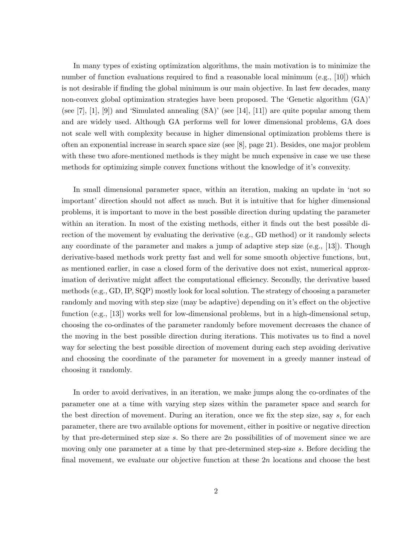In many types of existing optimization algorithms, the main motivation is to minimize the number of function evaluations required to find a reasonable local minimum  $(e.g., [10])$  which is not desirable if finding the global minimum is our main objective. In last few decades, many non-convex global optimization strategies have been proposed. The 'Genetic algorithm (GA)' (see  $[7], [1], [9]$ ) and 'Simulated annealing  $(SA)$ ' (see  $[14], [11]$ ) are quite popular among them and are widely used. Although GA performs well for lower dimensional problems, GA does not scale well with complexity because in higher dimensional optimization problems there is often an exponential increase in search space size (see [8], page 21). Besides, one major problem with these two afore-mentioned methods is they might be much expensive in case we use these methods for optimizing simple convex functions without the knowledge of it's convexity.

In small dimensional parameter space, within an iteration, making an update in 'not so important' direction should not affect as much. But it is intuitive that for higher dimensional problems, it is important to move in the best possible direction during updating the parameter within an iteration. In most of the existing methods, either it finds out the best possible direction of the movement by evaluating the derivative (e.g., GD method) or it randomly selects any coordinate of the parameter and makes a jump of adaptive step size (e.g., [13]). Though derivative-based methods work pretty fast and well for some smooth objective functions, but, as mentioned earlier, in case a closed form of the derivative does not exist, numerical approximation of derivative might affect the computational efficiency. Secondly, the derivative based methods (e.g., GD, IP, SQP) mostly look for local solution. The strategy of choosing a parameter randomly and moving with step size (may be adaptive) depending on it's effect on the objective function (e.g., [13]) works well for low-dimensional problems, but in a high-dimensional setup, choosing the co-ordinates of the parameter randomly before movement decreases the chance of the moving in the best possible direction during iterations. This motivates us to find a novel way for selecting the best possible direction of movement during each step avoiding derivative and choosing the coordinate of the parameter for movement in a greedy manner instead of choosing it randomly.

In order to avoid derivatives, in an iteration, we make jumps along the co-ordinates of the parameter one at a time with varying step sizes within the parameter space and search for the best direction of movement. During an iteration, once we fix the step size, say s, for each parameter, there are two available options for movement, either in positive or negative direction by that pre-determined step size  $s$ . So there are  $2n$  possibilities of of movement since we are moving only one parameter at a time by that pre-determined step-size s. Before deciding the final movement, we evaluate our objective function at these  $2n$  locations and choose the best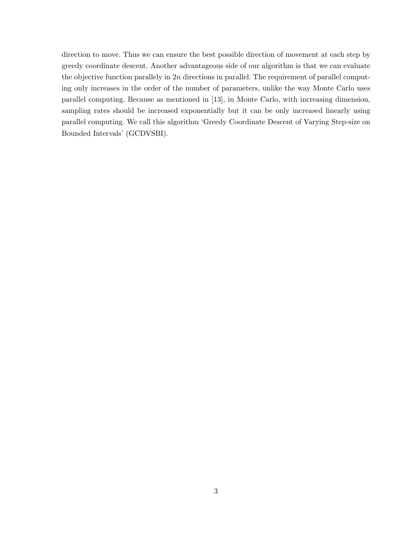direction to move. Thus we can ensure the best possible direction of movement at each step by greedy coordinate descent. Another advantageous side of our algorithm is that we can evaluate the objective function parallely in  $2n$  directions in parallel. The requirement of parallel computing only increases in the order of the number of parameters, unlike the way Monte Carlo uses parallel computing. Because as mentioned in [13], in Monte Carlo, with increasing dimension, sampling rates should be increased exponentially but it can be only increased linearly using parallel computing. We call this algorithm 'Greedy Coordinate Descent of Varying Step-size on Bounded Intervals' (GCDVSBI).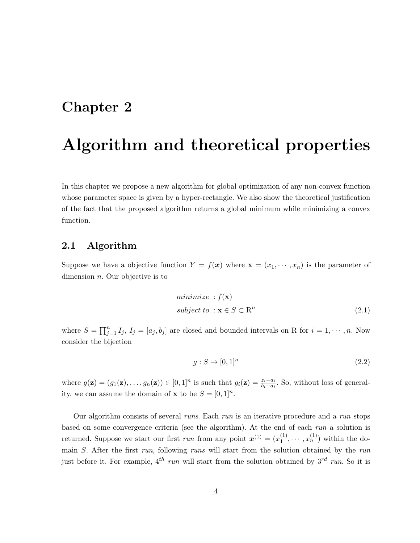# Chapter 2

# Algorithm and theoretical properties

In this chapter we propose a new algorithm for global optimization of any non-convex function whose parameter space is given by a hyper-rectangle. We also show the theoretical justification of the fact that the proposed algorithm returns a global minimum while minimizing a convex function.

## 2.1 Algorithm

Suppose we have a objective function  $Y = f(x)$  where  $\mathbf{x} = (x_1, \dots, x_n)$  is the parameter of dimension  $n$ . Our objective is to

$$
minimize: f(\mathbf{x})
$$
  
subject to:  $\mathbf{x} \in S \subset \mathbb{R}^n$  (2.1)

where  $S = \prod_{j=1}^n I_j$ ,  $I_j = [a_j, b_j]$  are closed and bounded intervals on R for  $i = 1, \dots, n$ . Now consider the bijection

$$
g: S \mapsto [0,1]^n \tag{2.2}
$$

where  $g(\mathbf{z}) = (g_1(\mathbf{z}), \ldots, g_n(\mathbf{z})) \in [0,1]^n$  is such that  $g_i(\mathbf{z}) = \frac{z_i - a_i}{b_i - a_i}$ . So, without loss of generality, we can assume the domain of **x** to be  $S = [0, 1]^n$ .

Our algorithm consists of several runs. Each run is an iterative procedure and a run stops based on some convergence criteria (see the algorithm). At the end of each run a solution is returned. Suppose we start our first run from any point  $\mathbf{x}^{(1)} = (x_1^{(1)})$  $x_1^{(1)}, \dots, x_n^{(1)}$  within the domain S. After the first run, following runs will start from the solution obtained by the run just before it. For example,  $4^{th}$  run will start from the solution obtained by  $3^{rd}$  run. So it is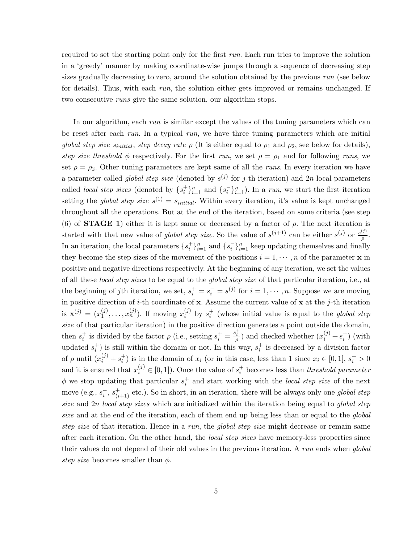required to set the starting point only for the first run. Each run tries to improve the solution in a 'greedy' manner by making coordinate-wise jumps through a sequence of decreasing step sizes gradually decreasing to zero, around the solution obtained by the previous run (see below for details). Thus, with each run, the solution either gets improved or remains unchanged. If two consecutive runs give the same solution, our algorithm stops.

In our algorithm, each run is similar except the values of the tuning parameters which can be reset after each run. In a typical run, we have three tuning parameters which are initial global step size  $s_{initial}$ , step decay rate  $\rho$  (It is either equal to  $\rho_1$  and  $\rho_2$ , see below for details), step size threshold  $\phi$  respectively. For the first run, we set  $\rho = \rho_1$  and for following runs, we set  $\rho = \rho_2$ . Other tuning parameters are kept same of all the *runs*. In every iteration we have a parameter called *global step size* (denoted by  $s^{(j)}$  for j-th iteration) and 2n local parameters called *local step sizes* (denoted by  $\{s_i^+\}_{i=1}^n$  and  $\{s_i^-\}_{i=1}^n$ ). In a *run*, we start the first iteration setting the *global step size*  $s^{(1)} = s_{initial}$ . Within every iteration, it's value is kept unchanged throughout all the operations. But at the end of the iteration, based on some criteria (see step (6) of **STAGE 1**) either it is kept same or decreased by a factor of  $\rho$ . The next iteration is started with that new value of global step size. So the value of  $s^{(j+1)}$  can be either  $s^{(j)}$  or  $\frac{s^{(j)}}{s}$  $\frac{\omega}{\rho}$ . In an iteration, the local parameters  $\{s_i^+\}_{i=1}^n$  and  $\{s_i^-\}_{i=1}^n$  keep updating themselves and finally they become the step sizes of the movement of the positions  $i = 1, \dots, n$  of the parameter **x** in positive and negative directions respectively. At the beginning of any iteration, we set the values of all these *local step sizes* to be equal to the *global step size* of that particular iteration, i.e., at the beginning of jth iteration, we set,  $s_i^+ = s_i^- = s^{(j)}$  for  $i = 1, \dots, n$ . Suppose we are moving in positive direction of *i*-th coordinate of **x**. Assume the current value of **x** at the *j*-th iteration is  $\mathbf{x}^{(j)} = (x_1^{(j)})$  $x_1^{(j)}, \ldots, x_n^{(j)}$ ). If moving  $x_i^{(j)}$  $i_j^{(j)}$  by  $s_i^+$  (whose initial value is equal to the *global step* size of that particular iteration) in the positive direction generates a point outside the domain, then  $s_i^+$  is divided by the factor  $\rho$  (i.e., setting  $s_i^+ = \frac{s_i^+}{\rho}$ ) and checked whether  $(x_i^{(j)} + s_i^+)$  (with updated  $s_i^+$ ) is still within the domain or not. In this way,  $s_i^+$  is decreased by a division factor of  $\rho$  until  $(x_i^{(j)} + s_i^+)$  is in the domain of  $x_i$  (or in this case, less than 1 since  $x_i \in [0,1]$ ,  $s_i^+ > 0$ and it is ensured that  $x_i^{(j)} \in [0,1]$ . Once the value of  $s_i^+$  becomes less than threshold parameter  $\phi$  we stop updating that particular  $s_i^+$  and start working with the local step size of the next move (e.g.,  $s_i^-, s_{(i+1)}^+$  etc.). So in short, in an iteration, there will be always only one global step size and 2n local step sizes which are initialized within the iteration being equal to global step size and at the end of the iteration, each of them end up being less than or equal to the *global* step size of that iteration. Hence in a run, the global step size might decrease or remain same after each iteration. On the other hand, the *local step sizes* have memory-less properties since their values do not depend of their old values in the previous iteration. A run ends when global step size becomes smaller than  $\phi$ .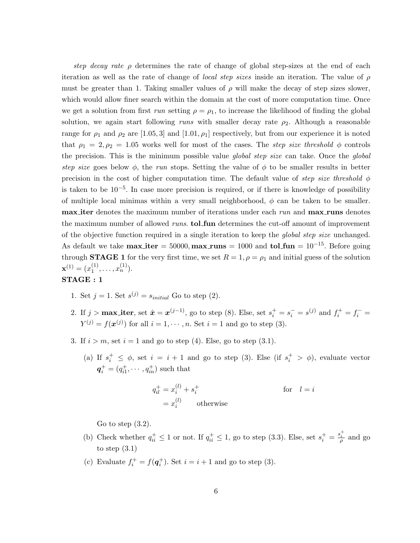step decay rate  $\rho$  determines the rate of change of global step-sizes at the end of each iteration as well as the rate of change of *local step sizes* inside an iteration. The value of  $\rho$ must be greater than 1. Taking smaller values of  $\rho$  will make the decay of step sizes slower, which would allow finer search within the domain at the cost of more computation time. Once we get a solution from first run setting  $\rho = \rho_1$ , to increase the likelihood of finding the global solution, we again start following runs with smaller decay rate  $\rho_2$ . Although a reasonable range for  $\rho_1$  and  $\rho_2$  are [1.05, 3] and [1.01,  $\rho_1$ ] respectively, but from our experience it is noted that  $\rho_1 = 2, \rho_2 = 1.05$  works well for most of the cases. The step size threshold  $\phi$  controls the precision. This is the minimum possible value *global step size* can take. Once the *global* step size goes below  $\phi$ , the run stops. Setting the value of  $\phi$  to be smaller results in better precision in the cost of higher computation time. The default value of step size threshold  $\phi$ is taken to be 10−<sup>5</sup> . In case more precision is required, or if there is knowledge of possibility of multiple local minimas within a very small neighborhood,  $\phi$  can be taken to be smaller. max iter denotes the maximum number of iterations under each run and max runs denotes the maximum number of allowed *runs*. **tol\_fun** determines the cut-off amount of improvement of the objective function required in a single iteration to keep the global step size unchanged. As default we take  $max\_iter = 50000$ ,  $max\_runs = 1000$  and  $tol\_fun = 10^{-15}$ . Before going through **STAGE 1** for the very first time, we set  $R = 1, \rho = \rho_1$  and initial guess of the solution  $\mathbf{x}^{(1)} = (x_1^{(1)}$  $\binom{1}{1}, \ldots, \binom{1}{n}$ .

### STAGE : 1

- 1. Set  $j = 1$ . Set  $s^{(j)} = s_{initial}$  Go to step (2).
- 2. If  $j > \max$  iter, set  $\hat{x} = x^{(j-1)}$ , go to step (8). Else, set  $s_i^+ = s_i^- = s^{(j)}$  and  $f_i^+ = f_i^- =$  $Y^{(j)} = f(\boldsymbol{x}^{(j)})$  for all  $i = 1, \cdots, n$ . Set  $i = 1$  and go to step (3).
- 3. If  $i > m$ , set  $i = 1$  and go to step (4). Else, go to step (3.1).
	- (a) If  $s_i^+ \leq \phi$ , set  $i = i + 1$  and go to step (3). Else (if  $s_i^+ > \phi$ ), evaluate vector  $q_i^+ = (q_{i1}^+, \cdots, q_{in}^+)$  such that

$$
q_{il}^{+} = x_{i}^{(l)} + s_{i}^{+}
$$
 for  $l = i$   
=  $x_{i}^{(l)}$  otherwise

Go to step  $(3.2)$ .

- (b) Check whether  $q_{ii}^+ \leq 1$  or not. If  $q_{ii}^+ \leq 1$ , go to step (3.3). Else, set  $s_i^+ = \frac{s_i^+}{\rho}$  and go to step  $(3.1)$
- (c) Evaluate  $f_i^+ = f(\mathbf{q}_i^+)$ . Set  $i = i + 1$  and go to step (3).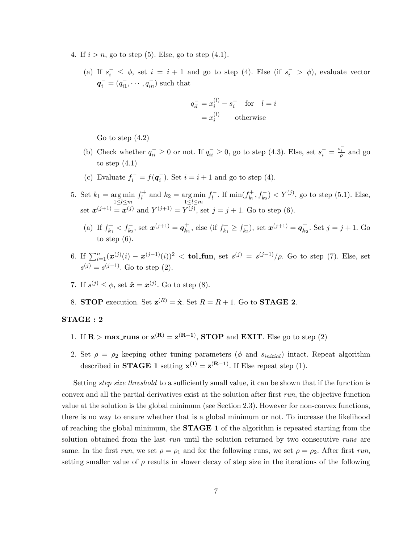- 4. If  $i > n$ , go to step (5). Else, go to step (4.1).
	- (a) If  $s_i^-\leq \phi$ , set  $i=i+1$  and go to step (4). Else (if  $s_i^->\phi$ ), evaluate vector  $q_i^- = (q_{i1}^-, \dots, q_{in}^-)$  such that

$$
q_{il}^- = x_i^{(l)} - s_i^- \quad \text{for} \quad l = i
$$

$$
= x_i^{(l)} \qquad \text{otherwise}
$$

Go to step (4.2)

- (b) Check whether  $q_{ii}^{-} \geq 0$  or not. If  $q_{ii}^{-} \geq 0$ , go to step (4.3). Else, set  $s_i^{-} = \frac{s_i^{-}}{\rho}$  and go to step  $(4.1)$
- (c) Evaluate  $f_i^- = f(q_i^-)$ . Set  $i = i + 1$  and go to step (4).
- 5. Set  $k_1 = \arg \min_{1 \leq l \leq m}$  $f_1^+$ <sup> $i^+$ </sup> and  $k_2 = \arg \min_{1 \leq l \leq m}$  $f_I^ \int_l^-$ . If  $\min(f_{k_1}^+)$  $(k_1^+, f_{k_2}^-) < Y^{(j)}$ , go to step (5.1). Else, set  $x^{(j+1)} = x^{(j)}$  and  $Y^{(j+1)} = Y^{(j)}$ , set  $j = j + 1$ . Go to step (6).
	- (a) If  $f_{k_1}^+$  $k_1^+ < f_{k_2}^-$ , set  $\boldsymbol{x}^{(j+1)} = \boldsymbol{q}_{k_1}^+$  $\overrightarrow{k_1}$ , else (if  $f_{k_1}^+$  $f_{k_1}^+ \geq f_{k_2}^ (\vec{k}_2), \text{ set } \bm{x}^{(j+1)} = \bm{q}_{\bm{k}_2}^ \overline{k_2}$ . Set  $j = j + 1$ . Go to step (6).
- 6. If  $\sum_{i=1}^{n} (\bm{x}^{(j)}(i) \bm{x}^{(j-1)}(i))^2 <$  tol\_fun, set  $s^{(j)} = s^{(j-1)}/\rho$ . Go to step (7). Else, set  $s^{(j)} = s^{(j-1)}$ . Go to step (2).
- 7. If  $s^{(j)} \leq \phi$ , set  $\hat{\boldsymbol{x}} = \boldsymbol{x}^{(j)}$ . Go to step (8).
- 8. STOP execution. Set  $\mathbf{z}^{(R)} = \hat{\mathbf{x}}$ . Set  $R = R + 1$ . Go to STAGE 2.

#### STAGE : 2

- 1. If  $\mathbf{R} > \text{max\_runs}$  or  $\mathbf{z}^{(\mathbf{R})} = \mathbf{z}^{(\mathbf{R}-1)}$ , **STOP** and **EXIT**. Else go to step (2)
- 2. Set  $\rho = \rho_2$  keeping other tuning parameters ( $\phi$  and  $s_{initial}$ ) intact. Repeat algorithm described in **STAGE 1** setting  $\mathbf{x}^{(1)} = \mathbf{z}^{(R-1)}$ . If Else repeat step (1).

Setting *step size threshold* to a sufficiently small value, it can be shown that if the function is convex and all the partial derivatives exist at the solution after first run, the objective function value at the solution is the global minimum (see Section 2.3). However for non-convex functions, there is no way to ensure whether that is a global minimum or not. To increase the likelihood of reaching the global minimum, the **STAGE 1** of the algorithm is repeated starting from the solution obtained from the last run until the solution returned by two consecutive runs are same. In the first run, we set  $\rho = \rho_1$  and for the following runs, we set  $\rho = \rho_2$ . After first run, setting smaller value of  $\rho$  results in slower decay of step size in the iterations of the following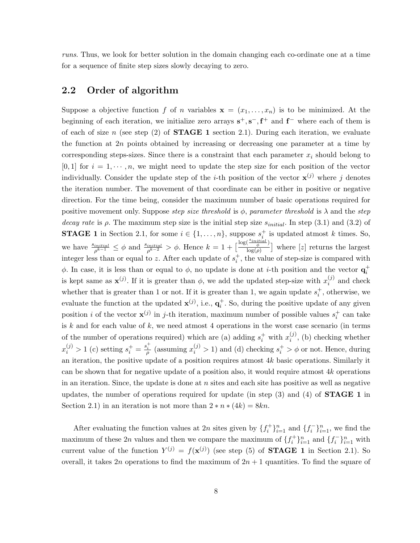runs. Thus, we look for better solution in the domain changing each co-ordinate one at a time for a sequence of finite step sizes slowly decaying to zero.

## 2.2 Order of algorithm

Suppose a objective function f of n variables  $\mathbf{x} = (x_1, \ldots, x_n)$  is to be minimized. At the beginning of each iteration, we initialize zero arrays  $s^+, s^-, f^+$  and  $f^-$  where each of them is of each of size n (see step  $(2)$  of **STAGE 1** section 2.1). During each iteration, we evaluate the function at 2n points obtained by increasing or decreasing one parameter at a time by corresponding steps-sizes. Since there is a constraint that each parameter  $x_i$  should belong to  $[0, 1]$  for  $i = 1, \dots, n$ , we might need to update the step size for each position of the vector individually. Consider the update step of the *i*-th position of the vector  $\mathbf{x}^{(j)}$  where j denotes the iteration number. The movement of that coordinate can be either in positive or negative direction. For the time being, consider the maximum number of basic operations required for positive movement only. Suppose step size threshold is  $\phi$ , parameter threshold is  $\lambda$  and the step decay rate is  $\rho$ . The maximum step size is the initial step size  $s_{initial}$ . In step (3.1) and (3.2) of **STAGE 1** in Section 2.1, for some  $i \in \{1, ..., n\}$ , suppose  $s_i^+$  is updated atmost k times. So, we have  $\frac{s_{initial}}{\rho^{k-1}} \leq \phi$  and  $\frac{s_{initial}}{\rho^{k-2}} > \phi$ . Hence  $k = 1 + \left[\frac{\log(\frac{s_{initial}}{\phi})}{\log(\rho)}\right]$  $\left(\frac{\sqrt{a^2-1}}{\log(p)}\right)$  where [*z*] returns the largest integer less than or equal to z. After each update of  $s_i^+$ , the value of step-size is compared with  $\phi$ . In case, it is less than or equal to  $\phi$ , no update is done at *i*-th position and the vector  $\mathbf{q}_i^+$ is kept same as  $\mathbf{x}^{(j)}$ . If it is greater than  $\phi$ , we add the updated step-size with  $x_i^{(j)}$  $i^{(j)}$  and check whether that is greater than 1 or not. If it is greater than 1, we again update  $s_i^+$ , otherwise, we evaluate the function at the updated  $\mathbf{x}^{(j)}$ , i.e.,  $\mathbf{q}_i^+$ . So, during the positive update of any given position *i* of the vector  $\mathbf{x}^{(j)}$  in *j*-th iteration, maximum number of possible values  $s_i^+$  can take is  $k$  and for each value of  $k$ , we need atmost 4 operations in the worst case scenario (in terms of the number of operations required) which are (a) adding  $s_i^+$  with  $x_i^{(j)}$  $i^{(j)}$ , (b) checking whether  $x_i^{(j)} > 1$  (c) setting  $s_i^+ = \frac{s_i^+}{\rho}$  (assuming  $x_i^{(j)} > 1$ ) and (d) checking  $s_i^+ > \phi$  or not. Hence, during an iteration, the positive update of a position requires atmost  $4k$  basic operations. Similarly it can be shown that for negative update of a position also, it would require atmost  $4k$  operations in an iteration. Since, the update is done at  $n$  sites and each site has positive as well as negative updates, the number of operations required for update (in step  $(3)$  and  $(4)$  of **STAGE 1** in Section 2.1) in an iteration is not more than  $2 * n * (4k) = 8kn$ .

After evaluating the function values at 2n sites given by  $\{f_i^+\}_{i=1}^n$  and  $\{f_i^-\}_{i=1}^n$ , we find the maximum of these 2n values and then we compare the maximum of  $\{f_i^+\}_{i=1}^n$  and  $\{f_i^-\}_{i=1}^n$  with current value of the function  $Y^{(j)} = f(\mathbf{x}^{(j)})$  (see step (5) of **STAGE 1** in Section 2.1). So overall, it takes 2n operations to find the maximum of  $2n + 1$  quantities. To find the square of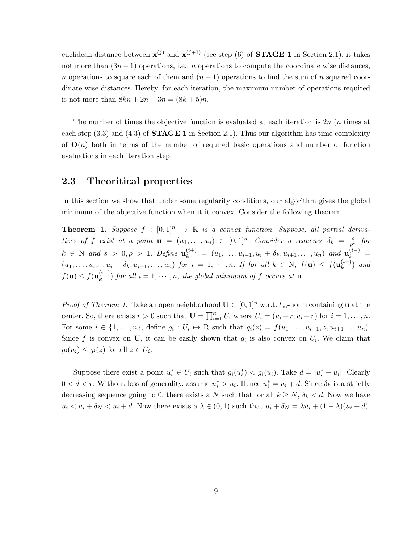euclidean distance between  $\mathbf{x}^{(j)}$  and  $\mathbf{x}^{(j+1)}$  (see step (6) of **STAGE 1** in Section 2.1), it takes not more than  $(3n-1)$  operations, i.e., *n* operations to compute the coordinate wise distances, n operations to square each of them and  $(n-1)$  operations to find the sum of n squared coordinate wise distances. Hereby, for each iteration, the maximum number of operations required is not more than  $8kn + 2n + 3n = (8k + 5)n$ .

The number of times the objective function is evaluated at each iteration is 2n (n times at each step  $(3.3)$  and  $(4.3)$  of **STAGE 1** in Section 2.1). Thus our algorithm has time complexity of  $\mathbf{O}(n)$  both in terms of the number of required basic operations and number of function evaluations in each iteration step.

## 2.3 Theoritical properties

In this section we show that under some regularity conditions, our algorithm gives the global minimum of the objective function when it it convex. Consider the following theorem

**Theorem 1.** Suppose  $f : [0,1]^n \rightarrow \mathbb{R}$  is a convex function. Suppose, all partial derivatives of f exist at a point  $\mathbf{u} = (u_1, \ldots, u_n) \in [0,1]^n$ . Consider a sequence  $\delta_k = \frac{s}{a^k}$  for ρ  $k \in \mathbb{N}$  and  $s > 0, \rho > 1$ . Define  $\mathbf{u}_k^{(i+)} = (u_1, \ldots, u_{i-1}, u_i + \delta_k, u_{i+1}, \ldots, u_n)$  and  $\mathbf{u}_k^{(i-)} =$  $(u_1,\ldots,u_{i-1},u_i-\delta_k,u_{i+1},\ldots,u_n)$  for  $i=1,\cdots,n$ . If for all  $k\in\mathrm{N}$ ,  $f(\mathbf{u})\leq f(\mathbf{u}_k^{(i+1)})$  $\binom{l^{(t+1)}}{k}$  and  $f(\mathbf{u}) \leq f(\mathbf{u}_k^{(i-)})$  $(k^{(i-1)}_{k})$  for all  $i = 1, \dots, n$ , the global minimum of f occurs at **u**.

*Proof of Theorem 1.* Take an open neighborhood  $\mathbf{U} \subset [0,1]^n$  w.r.t.  $l_{\infty}$ -norm containing **u** at the center. So, there exists  $r > 0$  such that  $\mathbf{U} = \prod_{i=1}^{n} U_i$  where  $U_i = (u_i - r, u_i + r)$  for  $i = 1, ..., n$ . For some  $i \in \{1, \ldots, n\}$ , define  $g_i : U_i \mapsto R$  such that  $g_i(z) = f(u_1, \ldots, u_{i-1}, z, u_{i+1}, \ldots, u_n)$ . Since f is convex on U, it can be easily shown that  $g_i$  is also convex on  $U_i$ . We claim that  $g_i(u_i) \leq g_i(z)$  for all  $z \in U_i$ .

Suppose there exist a point  $u_i^* \in U_i$  such that  $g_i(u_i^*) < g_i(u_i)$ . Take  $d = |u_i^* - u_i|$ . Clearly  $0 < d < r$ . Without loss of generality, assume  $u_i^* > u_i$ . Hence  $u_i^* = u_i + d$ . Since  $\delta_k$  is a strictly decreasing sequence going to 0, there exists a N such that for all  $k \geq N$ ,  $\delta_k < d$ . Now we have  $u_i < u_i + \delta_N < u_i + d$ . Now there exists a  $\lambda \in (0,1)$  such that  $u_i + \delta_N = \lambda u_i + (1 - \lambda)(u_i + d)$ .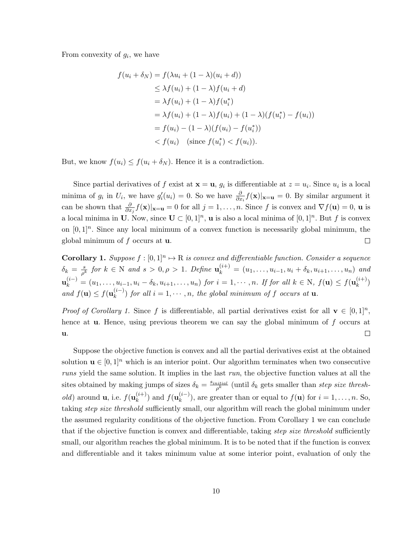From convexity of  $g_i$ , we have

$$
f(u_i + \delta_N) = f(\lambda u_i + (1 - \lambda)(u_i + d))
$$
  
\n
$$
\leq \lambda f(u_i) + (1 - \lambda)f(u_i + d)
$$
  
\n
$$
= \lambda f(u_i) + (1 - \lambda)f(u_i^*)
$$
  
\n
$$
= \lambda f(u_i) + (1 - \lambda)f(u_i) + (1 - \lambda)(f(u_i^*) - f(u_i))
$$
  
\n
$$
= f(u_i) - (1 - \lambda)(f(u_i) - f(u_i^*))
$$
  
\n
$$
< f(u_i) \quad (\text{since } f(u_i^*) < f(u_i)).
$$

But, we know  $f(u_i) \leq f(u_i + \delta_N)$ . Hence it is a contradiction.

Since partial derivatives of f exist at  $\mathbf{x} = \mathbf{u}$ ,  $g_i$  is differentiable at  $z = u_i$ . Since  $u_i$  is a local minima of  $g_i$  in  $U_i$ , we have  $g'_i(u_i) = 0$ . So we have  $\frac{\partial}{\partial x_i} f(\mathbf{x})|_{\mathbf{x}=\mathbf{u}} = 0$ . By similar argument it can be shown that  $\frac{\partial}{\partial x_j} f(\mathbf{x})|_{\mathbf{x}=\mathbf{u}} = 0$  for all  $j = 1, \ldots, n$ . Since f is convex and  $\nabla f(\mathbf{u}) = 0$ ,  $\mathbf{u}$  is a local minima in U. Now, since  $\mathbf{U} \subset [0,1]^n$ , **u** is also a local minima of  $[0,1]^n$ . But f is convex on  $[0,1]^n$ . Since any local minimum of a convex function is necessarily global minimum, the global minimum of  $f$  occurs at  $\mathbf{u}$ .  $\Box$ 

**Corollary 1.** Suppose  $f : [0,1]^n \to \mathbb{R}$  is convex and differentiable function. Consider a sequence  $\delta_k = \frac{s}{a^k}$  $\frac{s}{\rho^k}$  for  $k \in \mathbb{N}$  and  $s > 0, \rho > 1$ . Define  $\mathbf{u}_k^{(i+)} = (u_1, \ldots, u_{i-1}, u_i + \delta_k, u_{i+1}, \ldots, u_n)$  and  $\mathbf{u}_k^{(i-)} = (u_1, \ldots, u_{i-1}, u_i - \delta_k, u_{i+1}, \ldots, u_n)$  for  $i = 1, \cdots, n$ . If for all  $k \in \mathbb{N}$ ,  $f(\mathbf{u}) \le f(\mathbf{u}_k^{(i+1)})$  $\binom{(i+j)}{k}$ and  $f(\mathbf{u}) \leq f(\mathbf{u}_k^{(i-)})$  $(k-1)$  for all  $i = 1, \dots, n$ , the global minimum of f occurs at **u**.

*Proof of Corollary 1.* Since f is differentiable, all partial derivatives exist for all  $\mathbf{v} \in [0,1]^n$ , hence at **u**. Hence, using previous theorem we can say the global minimum of f occurs at  $\Box$ u.

Suppose the objective function is convex and all the partial derivatives exist at the obtained solution  $\mathbf{u} \in [0,1]^n$  which is an interior point. Our algorithm terminates when two consecutive runs yield the same solution. It implies in the last run, the objective function values at all the sites obtained by making jumps of sizes  $\delta_k = \frac{s_{initial}}{g_k^{k}}$  $\frac{initial}{\rho^k}$  (until  $\delta_k$  gets smaller than step size thresh*old*) around **u**, i.e.  $f(\mathbf{u}_k^{(i+1)})$  $\binom{(i+)}{k}$  and  $f(\mathbf{u}_k^{(i-)})$  $\binom{n-1}{k}$ , are greater than or equal to  $f(\mathbf{u})$  for  $i = 1, \ldots, n$ . So, taking *step size threshold* sufficiently small, our algorithm will reach the global minimum under the assumed regularity conditions of the objective function. From Corollary 1 we can conclude that if the objective function is convex and differentiable, taking step size threshold sufficiently small, our algorithm reaches the global minimum. It is to be noted that if the function is convex and differentiable and it takes minimum value at some interior point, evaluation of only the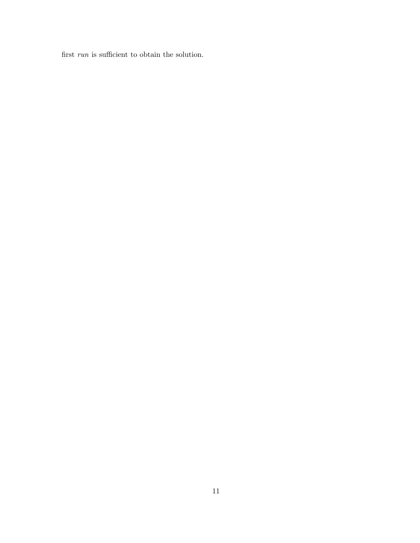first  $\mathit{run}$  is sufficient to obtain the solution.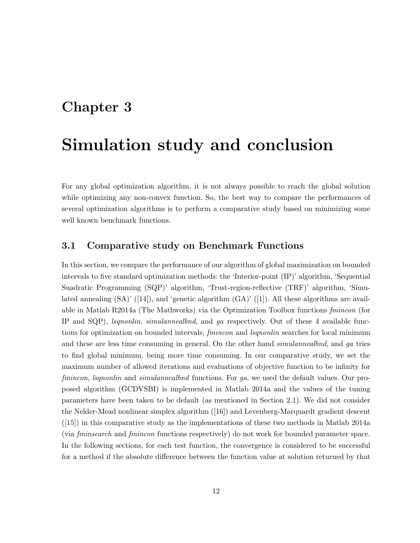# Chapter 3

# Simulation study and conclusion

For any global optimization algorithm, it is not always possible to reach the global solution while optimizing any non-convex function. So, the best way to compare the performances of several optimization algorithms is to perform a comparative study based on minimizing some well known benchmark functions.

## 3.1 Comparative study on Benchmark Functions

In this section, we compare the performance of our algorithm of global maximization on bounded intervals to five standard optimization methods: the 'Interior-point (IP)' algorithm, 'Sequential Suadratic Programming (SQP)' algorithm, 'Trust-region-reflective (TRF)' algorithm, 'Simulated annealing  $(SA)'$  ([14]), and 'genetic algorithm  $(GA)'$  ([1]). All these algorithms are available in Matlab R2014a (The Mathworks) via the Optimization Toolbox functions fmincon (for IP and SQP), lsqnonlin, simulannealbnd, and ga respectively. Out of these 4 available functions for optimization on bounded intervals, *fmincon* and *lsqnonlin* searches for local minimum and these are less time consuming in general. On the other hand *simulannealbnd*, and ga tries to find global minimum, being more time consuming. In our comparative study, we set the maximum number of allowed iterations and evaluations of objective function to be infinity for fmincon, *lsqnonlin* and *simulannealbnd* functions. For ga, we used the default values. Our proposed algorithm (GCDVSBI) is implemented in Matlab 2014a and the values of the tuning parameters have been taken to be default (as mentioned in Section 2.1). We did not consider the Nelder-Mead nonlinear simplex algorithm ([16]) and Levenberg-Marquardt gradient descent  $([15])$  in this comparative study as the implementations of these two methods in Matlab 2014a (via fminsearch and fmincon functions respectively) do not work for bounded parameter space. In the following sections, for each test function, the convergence is considered to be successful for a method if the absolute difference between the function value at solution returned by that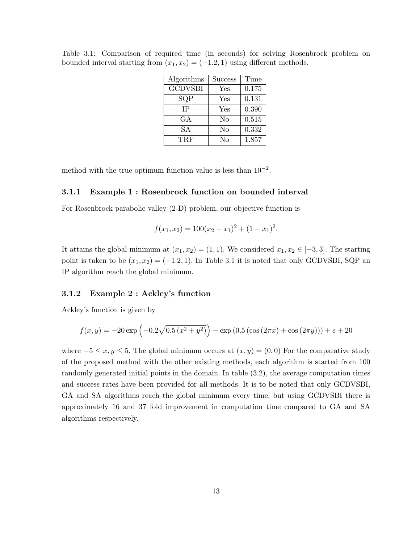| Algorithms     | <b>Success</b> | Time  |
|----------------|----------------|-------|
| <b>GCDVSBI</b> | Yes            | 0.175 |
| SQP            | Yes            | 0.131 |
| <b>IP</b>      | Yes            | 0.390 |
| GА             | No             | 0.515 |
| SА             | No             | 0.332 |
| TRF            | No             | 1.857 |

Table 3.1: Comparison of required time (in seconds) for solving Rosenbrock problem on bounded interval starting from  $(x_1, x_2) = (-1.2, 1)$  using different methods.

method with the true optimum function value is less than  $10^{-2}$ .

#### 3.1.1 Example 1 : Rosenbrock function on bounded interval

For Rosenbrock parabolic valley (2-D) problem, our objective function is

$$
f(x_1, x_2) = 100(x_2 - x_1)^2 + (1 - x_1)^2.
$$

It attains the global minimum at  $(x_1, x_2) = (1, 1)$ . We considered  $x_1, x_2 \in [-3, 3]$ . The starting point is taken to be  $(x_1, x_2) = (-1.2, 1)$ . In Table 3.1 it is noted that only GCDVSBI, SQP an IP algorithm reach the global minimum.

#### 3.1.2 Example 2 : Ackley's function

Ackley's function is given by

$$
f(x,y) = -20 \exp\left(-0.2\sqrt{0.5(x^2 + y^2)}\right) - \exp\left(0.5\left(\cos\left(2\pi x\right) + \cos\left(2\pi y\right)\right)\right) + e + 20
$$

where  $-5 \le x, y \le 5$ . The global minimum occurs at  $(x, y) = (0, 0)$  For the comparative study of the proposed method with the other existing methods, each algorithm is started from 100 randomly generated initial points in the domain. In table (3.2), the average computation times and success rates have been provided for all methods. It is to be noted that only GCDVSBI, GA and SA algorithms reach the global minimum every time, but using GCDVSBI there is approximately 16 and 37 fold improvement in computation time compared to GA and SA algorithms respectively.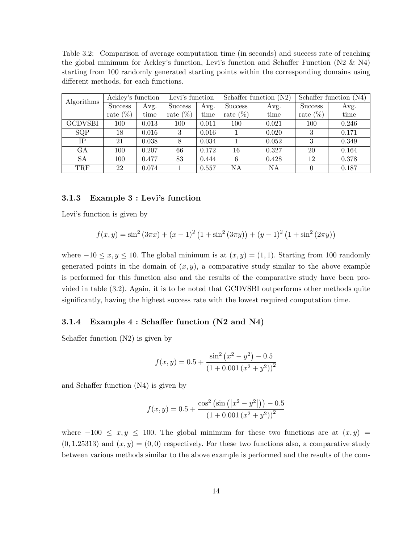Table 3.2: Comparison of average computation time (in seconds) and success rate of reaching the global minimum for Ackley's function, Levi's function and Schaffer Function (N2 & N4) starting from 100 randomly generated starting points within the corresponding domains using different methods, for each functions.

| Algorithms     | Ackley's function |       | Levi's function |       |             | Schaffer function $(N2)$ | Schaffer function $(N4)$ |       |  |
|----------------|-------------------|-------|-----------------|-------|-------------|--------------------------|--------------------------|-------|--|
|                | <b>Success</b>    | Avg.  | Success         | Avg.  | Success     | Avg.                     | <b>Success</b>           | Avg.  |  |
|                | rate $(\%)$       | time  | rate $(\%)$     | time  | rate $(\%)$ | time                     | rate $(\%)$              | time  |  |
| <b>GCDVSBI</b> | 100               | 0.013 | 100             | 0.011 | 100         | 0.021                    | 100                      | 0.246 |  |
| SQP            | 18                | 0.016 | 3               | 0.016 |             | 0.020                    | 3                        | 0.171 |  |
| IΡ             | 21                | 0.038 | 8               | 0.034 |             | 0.052                    | 3                        | 0.349 |  |
| GA             | 100               | 0.207 | 66              | 0.172 | 16          | 0.327                    | 20                       | 0.164 |  |
| <b>SA</b>      | 100               | 0.477 | 83              | 0.444 | 6           | 0.428                    | 12                       | 0.378 |  |
| <b>TRF</b>     | 22                | 0.074 |                 | 0.557 | NA          | ΝA                       |                          | 0.187 |  |

#### 3.1.3 Example 3 : Levi's function

Levi's function is given by

$$
f(x,y) = \sin^2(3\pi x) + (x-1)^2(1+\sin^2(3\pi y)) + (y-1)^2(1+\sin^2(2\pi y))
$$

where  $-10 \le x, y \le 10$ . The global minimum is at  $(x, y) = (1, 1)$ . Starting from 100 randomly generated points in the domain of  $(x, y)$ , a comparative study similar to the above example is performed for this function also and the results of the comparative study have been provided in table (3.2). Again, it is to be noted that GCDVSBI outperforms other methods quite significantly, having the highest success rate with the lowest required computation time.

#### 3.1.4 Example 4 : Schaffer function (N2 and N4)

Schaffer function (N2) is given by

$$
f(x,y) = 0.5 + \frac{\sin^2 (x^2 - y^2) - 0.5}{(1 + 0.001 (x^2 + y^2))^2}
$$

and Schaffer function (N4) is given by

$$
f(x,y) = 0.5 + \frac{\cos^2\left(\sin\left(\left|x^2 - y^2\right|\right)\right) - 0.5}{\left(1 + 0.001\left(x^2 + y^2\right)\right)^2}
$$

where  $-100 \le x, y \le 100$ . The global minimum for these two functions are at  $(x, y)$  =  $(0, 1.25313)$  and  $(x, y) = (0, 0)$  respectively. For these two functions also, a comparative study between various methods similar to the above example is performed and the results of the com-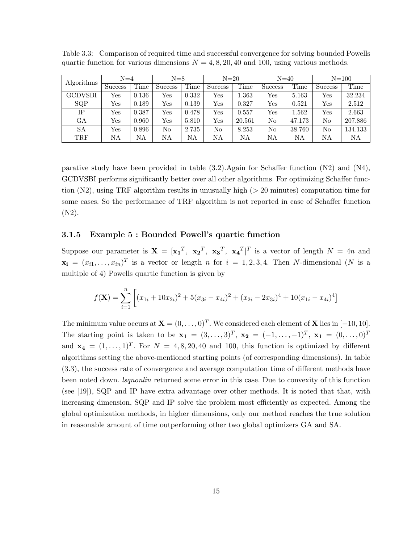| Algorithms     | $N=4$                |       | $N=8$   |       | $N=20$  |           | $N=40$         |           | $N = 100$            |         |
|----------------|----------------------|-------|---------|-------|---------|-----------|----------------|-----------|----------------------|---------|
|                | <b>Success</b>       | Time  | Success | Time  | Success | Time      | <b>Success</b> | Time      | <b>Success</b>       | Time    |
| <b>GCDVSBI</b> | Yes                  | 0.136 | Yes     | 0.332 | Yes     | $1.363\,$ | Yes            | 5.163     | Yes                  | 32.234  |
| SQP            | Yes                  | 0.189 | Yes     | 0.139 | Yes     | 0.327     | Yes            | 0.521     | Yes                  | 2.512   |
| IΡ             | Yes                  | 0.387 | Yes     | 0.478 | Yes     | 0.557     | Yes            | $1.562\,$ | $\operatorname{Yes}$ | 2.663   |
| GА             | Yes                  | 0.960 | Yes     | 5.810 | Yes     | 20.561    | No             | 47.173    | No                   | 207.886 |
| SA             | $\operatorname{Yes}$ | 0.896 | No      | 2.735 | No      | 8.253     | No             | 38.760    | No                   | 134.133 |
| TRF            | NΑ                   | NΑ    | NΑ      | NΑ    | NΑ      | NΑ        | NA             | NΑ        | NΑ                   | NΑ      |

Table 3.3: Comparison of required time and successful convergence for solving bounded Powells quartic function for various dimensions  $N = 4, 8, 20, 40$  and 100, using various methods.

parative study have been provided in table (3.2).Again for Schaffer function (N2) and (N4), GCDVSBI performs significantly better over all other algorithms. For optimizing Schaffer function  $(N2)$ , using TRF algorithm results in unusually high ( $> 20$  minutes) computation time for some cases. So the performance of TRF algorithm is not reported in case of Schaffer function (N2).

#### 3.1.5 Example 5 : Bounded Powell's quartic function

Suppose our parameter is  $X = [\mathbf{x_1}^T, \ \mathbf{x_2}^T, \ \mathbf{x_3}^T, \ \mathbf{x_4}^T]^T$  is a vector of length  $N = 4n$  and  $\mathbf{x_i} = (x_{i1}, \dots, x_{in})^T$  is a vector or length n for  $i = 1, 2, 3, 4$ . Then N-dimensional (N is a multiple of 4) Powells quartic function is given by

$$
f(\mathbf{X}) = \sum_{i=1}^{n} \left[ (x_{1i} + 10x_{2i})^2 + 5(x_{3i} - x_{4i})^2 + (x_{2i} - 2x_{3i})^4 + 10(x_{1i} - x_{4i})^4 \right]
$$

The minimum value occurs at  $\mathbf{X} = (0, \ldots, 0)^T$ . We considered each element of **X** lies in [−10, 10]. The starting point is taken to be  $\mathbf{x_1} = (3, ..., 3)^T$ ,  $\mathbf{x_2} = (-1, ..., -1)^T$ ,  $\mathbf{x_1} = (0, ..., 0)^T$ and  $\mathbf{x}_4 = (1, \ldots, 1)^T$ . For  $N = 4, 8, 20, 40$  and 100, this function is optimized by different algorithms setting the above-mentioned starting points (of corresponding dimensions). In table (3.3), the success rate of convergence and average computation time of different methods have been noted down. *Isqnonlin* returned some error in this case. Due to convexity of this function (see [19]), SQP and IP have extra advantage over other methods. It is noted that that, with increasing dimension, SQP and IP solve the problem most efficiently as expected. Among the global optimization methods, in higher dimensions, only our method reaches the true solution in reasonable amount of time outperforming other two global optimizers GA and SA.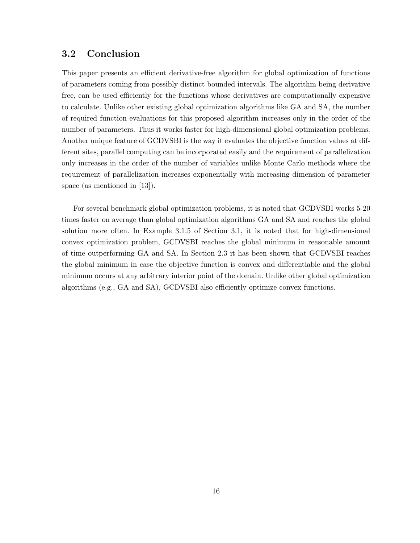# 3.2 Conclusion

This paper presents an efficient derivative-free algorithm for global optimization of functions of parameters coming from possibly distinct bounded intervals. The algorithm being derivative free, can be used efficiently for the functions whose derivatives are computationally expensive to calculate. Unlike other existing global optimization algorithms like GA and SA, the number of required function evaluations for this proposed algorithm increases only in the order of the number of parameters. Thus it works faster for high-dimensional global optimization problems. Another unique feature of GCDVSBI is the way it evaluates the objective function values at different sites, parallel computing can be incorporated easily and the requirement of parallelization only increases in the order of the number of variables unlike Monte Carlo methods where the requirement of parallelization increases exponentially with increasing dimension of parameter space (as mentioned in [13]).

For several benchmark global optimization problems, it is noted that GCDVSBI works 5-20 times faster on average than global optimization algorithms GA and SA and reaches the global solution more often. In Example 3.1.5 of Section 3.1, it is noted that for high-dimensional convex optimization problem, GCDVSBI reaches the global minimum in reasonable amount of time outperforming GA and SA. In Section 2.3 it has been shown that GCDVSBI reaches the global minimum in case the objective function is convex and differentiable and the global minimum occurs at any arbitrary interior point of the domain. Unlike other global optimization algorithms (e.g., GA and SA), GCDVSBI also efficiently optimize convex functions.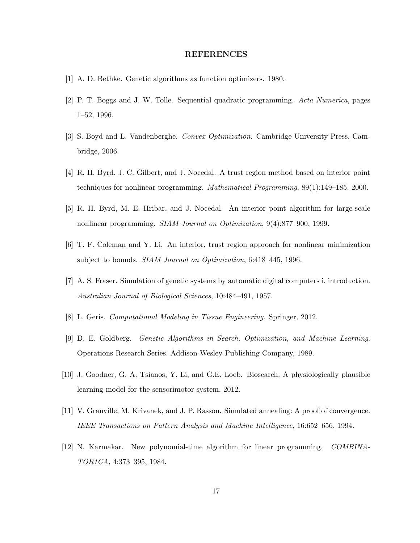#### REFERENCES

- [1] A. D. Bethke. Genetic algorithms as function optimizers. 1980.
- [2] P. T. Boggs and J. W. Tolle. Sequential quadratic programming. Acta Numerica, pages 1–52, 1996.
- [3] S. Boyd and L. Vandenberghe. Convex Optimization. Cambridge University Press, Cambridge, 2006.
- [4] R. H. Byrd, J. C. Gilbert, and J. Nocedal. A trust region method based on interior point techniques for nonlinear programming. Mathematical Programming, 89(1):149–185, 2000.
- [5] R. H. Byrd, M. E. Hribar, and J. Nocedal. An interior point algorithm for large-scale nonlinear programming. SIAM Journal on Optimization, 9(4):877–900, 1999.
- [6] T. F. Coleman and Y. Li. An interior, trust region approach for nonlinear minimization subject to bounds. SIAM Journal on Optimization, 6:418–445, 1996.
- [7] A. S. Fraser. Simulation of genetic systems by automatic digital computers i. introduction. Australian Journal of Biological Sciences, 10:484–491, 1957.
- [8] L. Geris. Computational Modeling in Tissue Engineering. Springer, 2012.
- [9] D. E. Goldberg. Genetic Algorithms in Search, Optimization, and Machine Learning. Operations Research Series. Addison-Wesley Publishing Company, 1989.
- [10] J. Goodner, G. A. Tsianos, Y. Li, and G.E. Loeb. Biosearch: A physiologically plausible learning model for the sensorimotor system, 2012.
- [11] V. Granville, M. Krivanek, and J. P. Rasson. Simulated annealing: A proof of convergence. IEEE Transactions on Pattern Analysis and Machine Intelligence, 16:652–656, 1994.
- [12] N. Karmakar. New polynomial-time algorithm for linear programming. COMBINA-TOR1CA, 4:373–395, 1984.